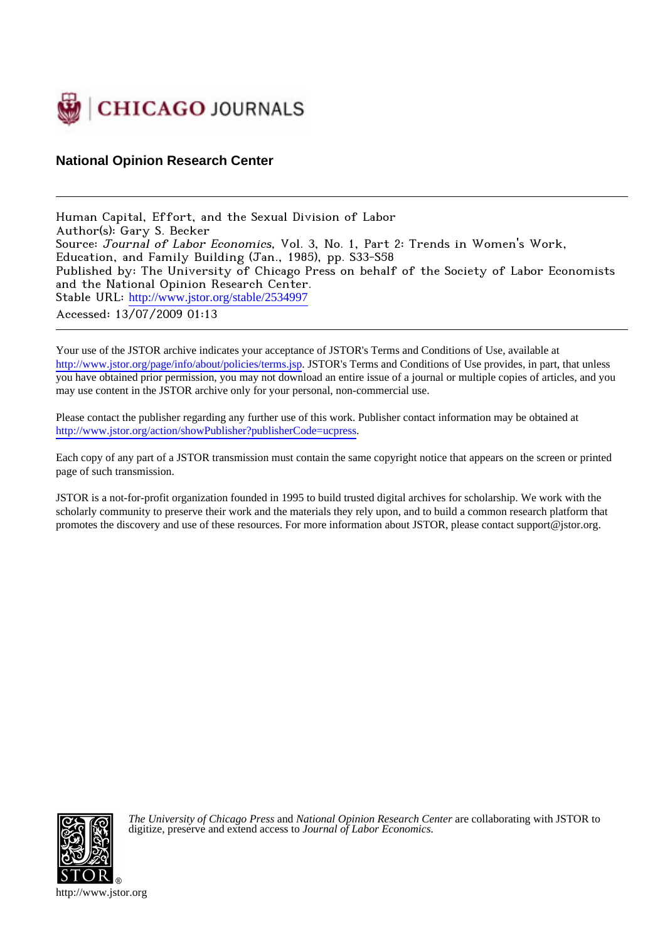

# **National Opinion Research Center**

Human Capital, Effort, and the Sexual Division of Labor Author(s): Gary S. Becker Source: Journal of Labor Economics, Vol. 3, No. 1, Part 2: Trends in Women's Work, Education, and Family Building (Jan., 1985), pp. S33-S58 Published by: The University of Chicago Press on behalf of the Society of Labor Economists and the National Opinion Research Center. Stable URL: [http://www.jstor.org/stable/2534997](http://www.jstor.org/stable/2534997?origin=JSTOR-pdf) Accessed: 13/07/2009 01:13

Your use of the JSTOR archive indicates your acceptance of JSTOR's Terms and Conditions of Use, available at <http://www.jstor.org/page/info/about/policies/terms.jsp>. JSTOR's Terms and Conditions of Use provides, in part, that unless you have obtained prior permission, you may not download an entire issue of a journal or multiple copies of articles, and you may use content in the JSTOR archive only for your personal, non-commercial use.

Please contact the publisher regarding any further use of this work. Publisher contact information may be obtained at [http://www.jstor.org/action/showPublisher?publisherCode=ucpress.](http://www.jstor.org/action/showPublisher?publisherCode=ucpress)

Each copy of any part of a JSTOR transmission must contain the same copyright notice that appears on the screen or printed page of such transmission.

JSTOR is a not-for-profit organization founded in 1995 to build trusted digital archives for scholarship. We work with the scholarly community to preserve their work and the materials they rely upon, and to build a common research platform that promotes the discovery and use of these resources. For more information about JSTOR, please contact support@jstor.org.



*The University of Chicago Press* and *National Opinion Research Center* are collaborating with JSTOR to digitize, preserve and extend access to *Journal of Labor Economics.*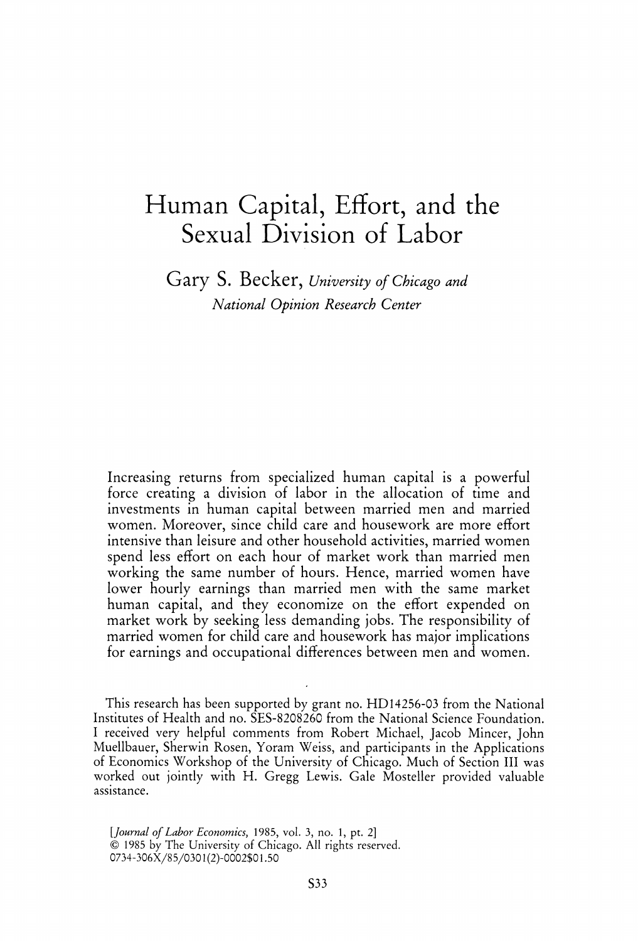# Human Capital, Effort, and the Sexual Division of Labor

Gary S. Becker, University of Chicago and National Opinion Research Center

Increasing returns from specialized human capital is a powerful force creating a division of labor in the allocation of time and investments in human capital between married men and married women. Moreover, since child care and housework are more effort intensive than leisure and other household activities, married women spend less effort on each hour of market work than married men working the same number of hours. Hence, married women have lower hourly earnings than married men with the same market human capital, and they economize on the effort expended on market work by seeking less demanding jobs. The responsibility of married women for child care and housework has major implications for earnings and occupational differences between men and women.

This research has been supported by grant no. HD14256-03 from the National Institutes of Health and no. SES-8208260 from the National Science Foundation. I received very helpful comments from Robert Michael, Jacob Mincer, John Muellbauer, Sherwin Rosen, Yoram Weiss, and participants in the Applications of Economics Workshop of the University of Chicago. Much of Section III was worked out jointly with H. Gregg Lewis. Gale Mosteller provided valuable assistance.

[Journal of Labor Economics, 1985, vol. 3, no. 1, pt. 2] © 1985 by The University of Chicago. All rights reserved. 0734-306X/85/0301(2)-0002\$01.50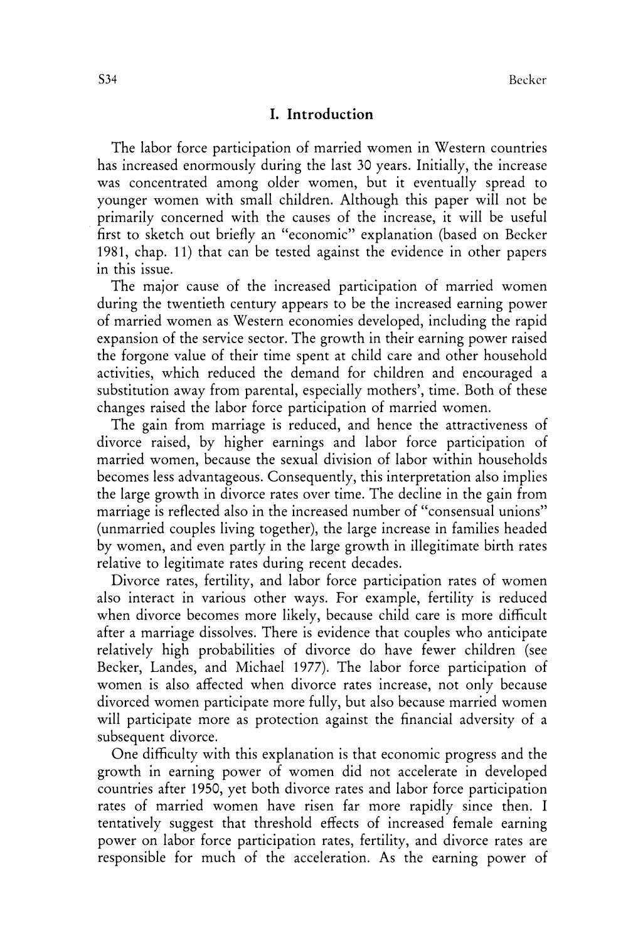#### I. Introduction

The labor force participation of married women in Western countries has increased enormously during the last 30 years. Initially, the increase was concentrated among older women, but it eventually spread to younger women with small children. Although this paper will not be primarily concerned with the causes of the increase, it will be useful first to sketch out briefly an "economic" explanation (based on Becker 1981, chap. 11) that can be tested against the evidence in other papers in this issue.

The major cause of the increased participation of married women during the twentieth century appears to be the increased earning power of married women as Western economies developed, including the rapid expansion of the service sector. The growth in their earning power raised the forgone value of their time spent at child care and other household activities, which reduced the demand for children and encouraged a substitution away from parental, especially mothers', time. Both of these changes raised the labor force participation of married women.

The gain from marriage is reduced, and hence the attractiveness of divorce raised, by higher earnings and labor force participation of married women, because the sexual division of labor within households becomes less advantageous. Consequently, this interpretation also implies the large growth in divorce rates over time. The decline in the gain from marriage is reflected also in the increased number of "consensual unions" (unmarried couples living together), the large increase in families headed by women, and even partly in the large growth in illegitimate birth rates relative to legitimate rates during recent decades.

Divorce rates, fertility, and labor force participation rates of women also interact in various other ways. For example, fertility is reduced when divorce becomes more likely, because child care is more difficult after a marriage dissolves. There is evidence that couples who anticipate relatively high probabilities of divorce do have fewer children (see Becker, Landes, and Michael 1977). The labor force participation of women is also affected when divorce rates increase, not only because divorced women participate more fully, but also because married women will participate more as protection against the financial adversity of a subsequent divorce.

One difficulty with this explanation is that economic progress and the growth in earning power of women did not accelerate in developed countries after 1950, yet both divorce rates and labor force participation rates of married women have risen far more rapidly since then. I tentatively suggest that threshold effects of increased female earning power on labor force participation rates, fertility, and divorce rates are responsible for much of the acceleration. As the earning power of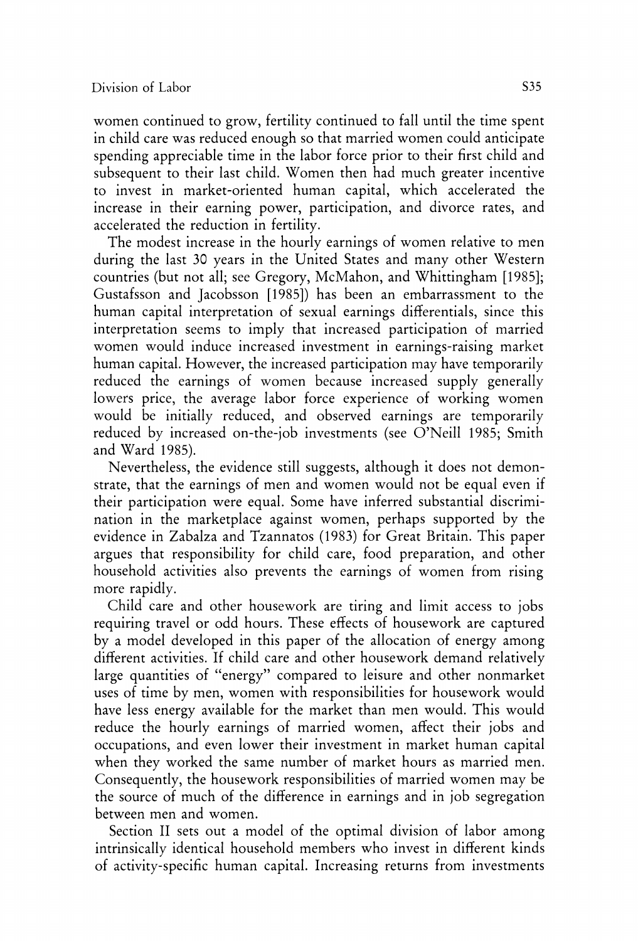women continued to grow, fertility continued to fall until the time spent in child care was reduced enough so that married women could anticipate spending appreciable time in the labor force prior to their first child and subsequent to their last child. Women then had much greater incentive to invest in market-oriented human capital, which accelerated the increase in their earning power, participation, and divorce rates, and accelerated the reduction in fertility.

The modest increase in the hourly earnings of women relative to men during the last 30 years in the United States and many other Western countries (but not all; see Gregory, McMahon, and Whittingham [1985]; Gustafsson and Jacobsson [1985]) has been an embarrassment to the human capital interpretation of sexual earnings differentials, since this interpretation seems to imply that increased participation of married women would induce increased investment in earnings-raising market human capital. However, the increased participation may have temporarily reduced the earnings of women because increased supply generally lowers price, the average labor force experience of working women would be initially reduced, and observed earnings are temporarily reduced by increased on-the-job investments (see O'Neill 1985; Smith and Ward 1985).

Nevertheless, the evidence still suggests, although it does not demonstrate, that the earnings of men and women would not be equal even if their participation were equal. Some have inferred substantial discrimination in the marketplace against women, perhaps supported by the evidence in Zabalza and Tzannatos (1983) for Great Britain. This paper argues that responsibility for child care, food preparation, and other household activities also prevents the earnings of women from rising more rapidly.

Child care and other housework are tiring and limit access to jobs requiring travel or odd hours. These effects of housework are captured by a model developed in this paper of the allocation of energy among different activities. If child care and other housework demand relatively large quantities of "energy" compared to leisure and other nonmarket uses of time by men, women with responsibilities for housework would have less energy available for the market than men would. This would reduce the hourly earnings of married women, affect their jobs and occupations, and even lower their investment in market human capital when they worked the same number of market hours as married men. Consequently, the housework responsibilities of married women may be the source of much of the difference in earnings and in job segregation between men and women.

Section II sets out a model of the optimal division of labor among intrinsically identical household members who invest in different kinds of activity-specific human capital. Increasing returns from investments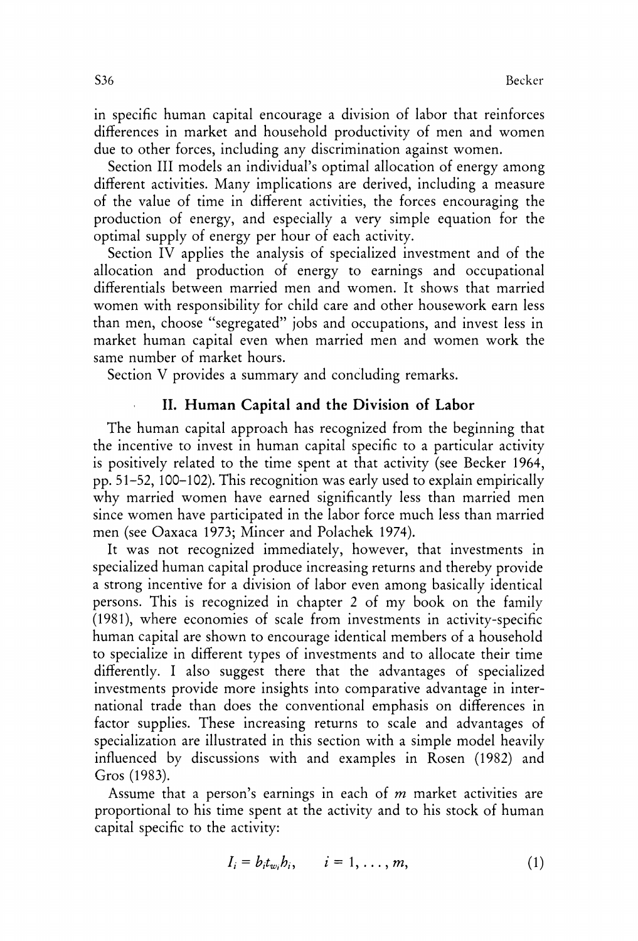in specific human capital encourage a division of labor that reinforces differences in market and household productivity of men and women due to other forces, including any discrimination against women.

Section III models an individual's optimal allocation of energy among different activities. Many implications are derived, including a measure of the value of time in different activities, the forces encouraging the production of energy, and especially a very simple equation for the optimal supply of energy per hour of each activity.

Section IV applies the analysis of specialized investment and of the allocation and production of energy to earnings and occupational differentials between married men and women. It shows that married women with responsibility for child care and other housework earn less than men, choose "segregated" jobs and occupations, and invest less in market human capital even when married men and women work the same number of market hours.

Section V provides a summary and concluding remarks.

#### II. Human Capital and the Division of Labor

The human capital approach has recognized from the beginning that the incentive to invest in human capital specific to a particular activity is positively related to the time spent at that activity (see Becker 1964, pp. 51-52, 100-102). This recognition was early used to explain empirically why married women have earned significantly less than married men since women have participated in the labor force much less than married men (see Oaxaca 1973; Mincer and Polachek 1974).

It was not recognized immediately, however, that investments in specialized human capital produce increasing returns and thereby provide a strong incentive for a division of labor even among basically identical persons. This is recognized in chapter 2 of my book on the family (1981), where economies of scale from investments in activity-specific human capital are shown to encourage identical members of a household to specialize in different types of investments and to allocate their time differently. I also suggest there that the advantages of specialized investments provide more insights into comparative advantage in international trade than does the conventional emphasis on differences in factor supplies. These increasing returns to scale and advantages of specialization are illustrated in this section with a simple model heavily influenced by discussions with and examples in Rosen (1982) and Gros (1983).

Assume that a person's earnings in each of  $m$  market activities are proportional to his time spent at the activity and to his stock of human capital specific to the activity:

$$
I_i = b_i t_{w_i} b_i, \qquad i = 1, \ldots, m,
$$
\n<sup>(1)</sup>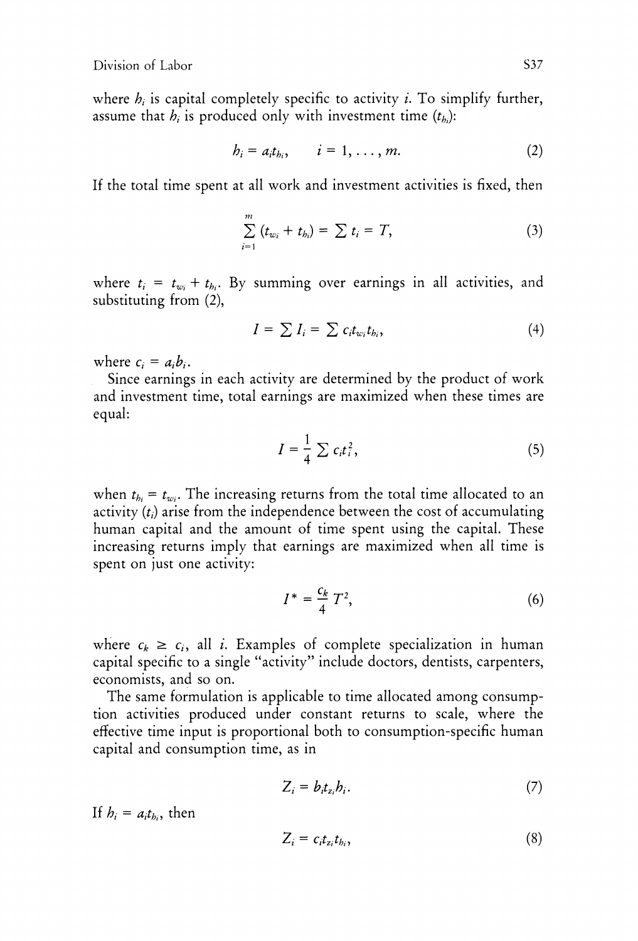where  $h_i$  is capital completely specific to activity *i*. To simplify further, assume that  $h_i$  is produced only with investment time  $(t_{h_i})$ :

$$
b_i = a_i t_{b_i}, \qquad i = 1, \ldots, m. \tag{2}
$$

If the total time spent at all work and investment activities is fixed, then

$$
\sum_{i=1}^{m} (t_{w_i} + t_{b_i}) = \sum t_i = T,
$$
\n(3)

where  $t_i = t_{w_i} + t_{b_i}$ . By summing over earnings in all activities, and substituting from (2),

$$
I = \sum I_i = \sum c_i t_{w_i} t_{b_i}, \qquad (4)
$$

where  $c_i = a_i b_i$ .

Since earnings in each activity are determined by the product of work and investment time, total earnings are maximized when these times are equal:

$$
I = \frac{1}{4} \sum c_i t_i^2, \tag{5}
$$

when  $t_{b_i} = t_{w_i}$ . The increasing returns from the total time allocated to an activity  $(t_i)$  arise from the independence between the cost of accumulating human capital and the amount of time spent using the capital. These increasing returns imply that earnings are maximized when all time is spent on just one activity:

$$
I^* = \frac{c_k}{4} T^2,\tag{6}
$$

where  $c_k \geq c_i$ , all *i*. Examples of complete specialization in human capital specific to a single "activity" include doctors, dentists, carpenters, economists, and so on.

The same formulation is applicable to time allocated among consumption activities produced under constant returns to scale, where the effective time input is proportional both to consumption-specific human capital and consumption time, as in

$$
Z_i = b_i t_{z_i} b_i. \tag{7}
$$

If  $b_i = a_i t_{bi}$ , then

$$
Z_i = c_i t_{z_i} t_{b_i}, \tag{8}
$$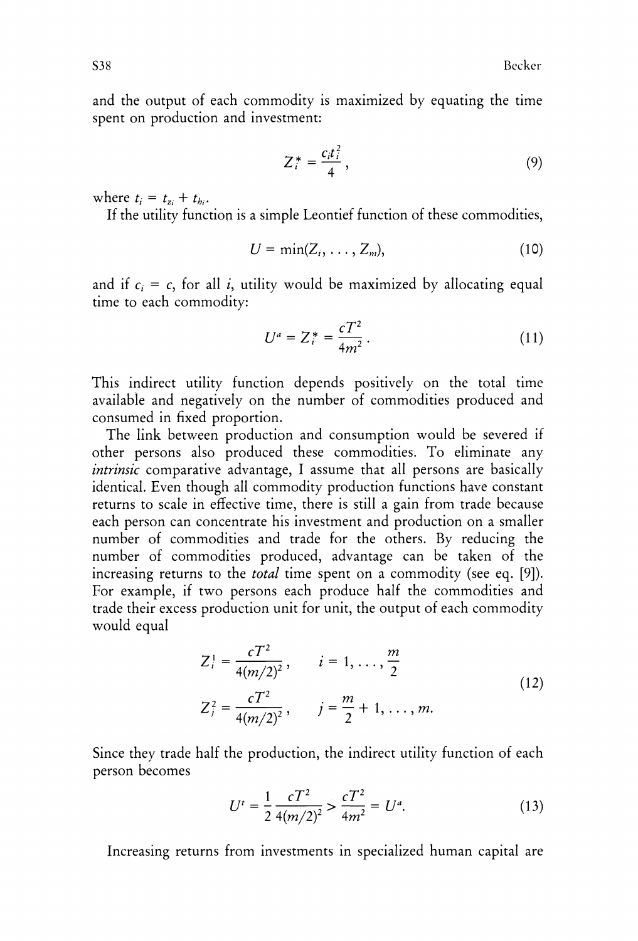and the output of each commodity is maximized by equating the time spent on production and investment:

$$
Z_i^* = \frac{c_i t_i^2}{4},\tag{9}
$$

where  $t_i = t_{zi} + t_{bi}$ .

If the utility function is a simple Leontief function of these commodities,

$$
U = \min(Z_i, \ldots, Z_m), \tag{10}
$$

and if  $c_i = c$ , for all i, utility would be maximized by allocating equal time to each commodity:

$$
U^a = Z_i^* = \frac{cT^2}{4m^2} \,. \tag{11}
$$

This indirect utility function depends positively on the total time available and negatively on the number of commodities produced and consumed in fixed proportion.

The link between production and consumption would be severed if other persons also produced these commodities. To eliminate any intrinsic comparative advantage, I assume that all persons are basically identical. Even though all commodity production functions have constant returns to scale in effective time, there is still a gain from trade because each person can concentrate his investment and production on a smaller number of commodities and trade for the others. By reducing the number of commodities produced, advantage can be taken of the increasing returns to the *total* time spent on a commodity (see eq. [9]). For example, if two persons each produce half the commodities and trade their excess production unit for unit, the output of each commodity would equal

$$
Z_i^1 = \frac{cT^2}{4(m/2)^2}, \qquad i = 1, ..., \frac{m}{2}
$$
  

$$
Z_j^2 = \frac{cT^2}{4(m/2)^2}, \qquad j = \frac{m}{2} + 1, ..., m.
$$
 (12)

Since they trade half the production, the indirect utility function of each person becomes

$$
U' = \frac{1}{2} \frac{cT^2}{4(m/2)^2} > \frac{cT^2}{4m^2} = U^a.
$$
 (13)

Increasing returns from investments in specialized human capital are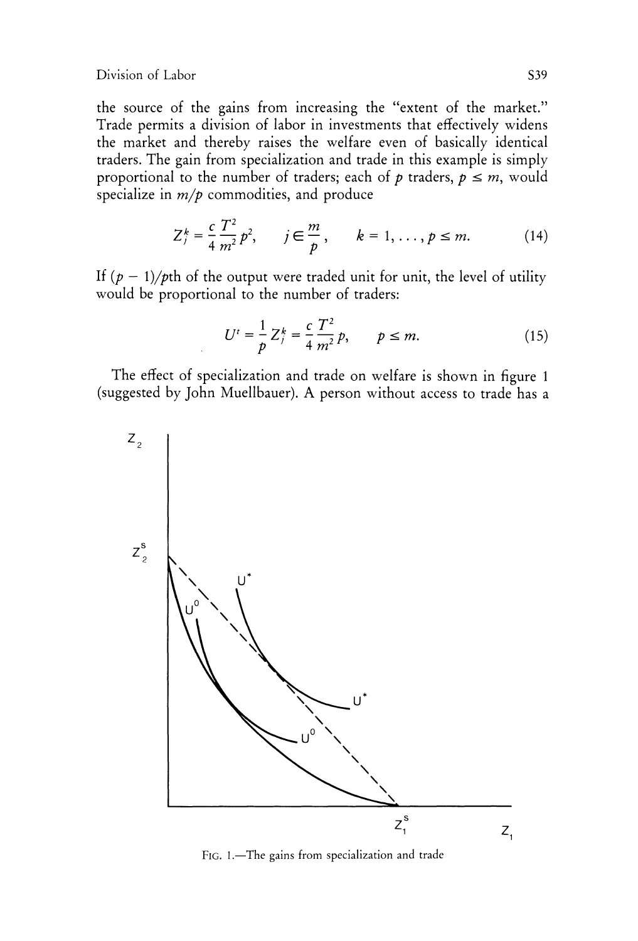#### Division of Labor

the source of the gains from increasing the "extent of the market." Trade permits a division of labor in investments that effectively widens the market and thereby raises the welfare even of basically identical traders. The gain from specialization and trade in this example is simply proportional to the number of traders; each of p traders,  $p \le m$ , would specialize in  $m/p$  commodities, and produce

$$
Z_j^k = \frac{c}{4} \frac{T^2}{m^2} p^2, \qquad j \in \frac{m}{p}, \qquad k = 1, \dots, p \le m.
$$
 (14)

If  $(p-1)/p$ th of the output were traded unit for unit, the level of utility would be proportional to the number of traders:

$$
U' = \frac{1}{p} Z_j^k = \frac{c}{4} \frac{T^2}{m^2} p, \qquad p \le m.
$$
 (15)

The effect of specialization and trade on welfare is shown in figure 1 (suggested by John Muellbauer). A person without access to trade has a



FIG. 1.-The gains from specialization and trade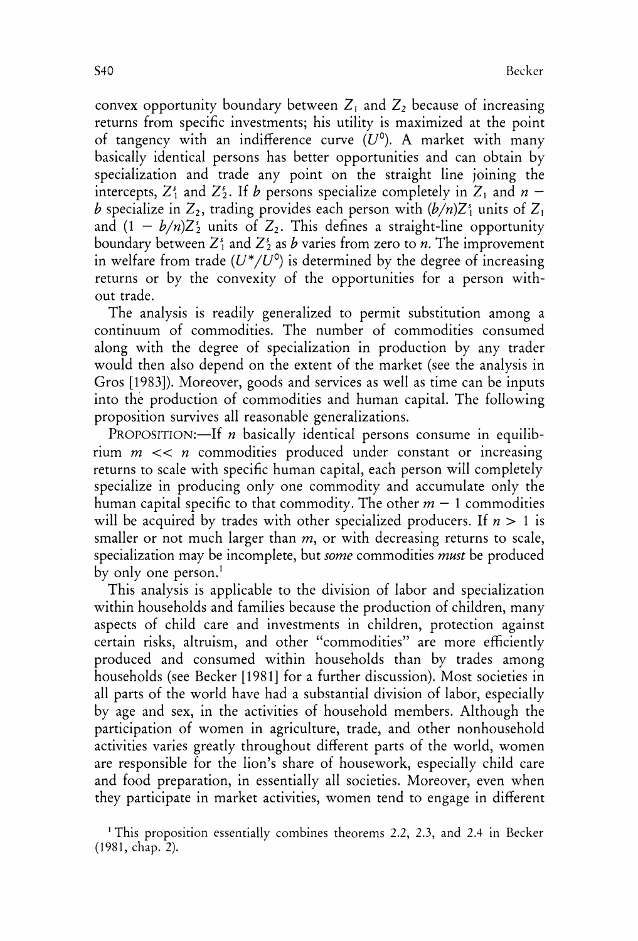convex opportunity boundary between  $Z_1$  and  $Z_2$  because of increasing returns from specific investments; his utility is maximized at the point of tangency with an indifference curve  $(U^0)$ . A market with many basically identical persons has better opportunities and can obtain by specialization and trade any point on the straight line joining the intercepts,  $Z_1^s$  and  $Z_2^s$ . If b persons specialize completely in  $Z_1$  and  $n$ b specialize in  $Z_2$ , trading provides each person with  $(b/n)Z_1^s$  units of  $Z_1$ and  $(1 - b/n)Z_2^s$  units of  $Z_2$ . This defines a straight-line opportunity boundary between  $Z_1^s$  and  $Z_2^s$  as *b* varies from zero to *n*. The improvement in welfare from trade  $(U^*/U^0)$  is determined by the degree of increasing returns or by the convexity of the opportunities for a person without trade.

The analysis is readily generalized to permit substitution among a continuum of commodities. The number of commodities consumed along with the degree of specialization in production by any trader would then also depend on the extent of the market (see the analysis in Gros [1983]). Moreover, goods and services as well as time can be inputs into the production of commodities and human capital. The following proposition survives all reasonable generalizations.

PROPOSITION:  $\frac{1}{n}$  basically identical persons consume in equilibrium  $m \ll n$  commodities produced under constant or increasing returns to scale with specific human capital, each person will completely specialize in producing only one commodity and accumulate only the human capital specific to that commodity. The other  $m-1$  commodities will be acquired by trades with other specialized producers. If  $n > 1$  is smaller or not much larger than  $m$ , or with decreasing returns to scale, specialization may be incomplete, but *some* commodities *must* be produced by only one person.<sup>1</sup>

This analysis is applicable to the division of labor and specialization within households and families because the production of children, many aspects of child care and investments in children, protection against certain risks, altruism, and other "commodities" are more efficiently produced and consumed within households than by trades among households (see Becker [1981] for a further discussion). Most societies in all parts of the world have had a substantial division of labor, especially by age and sex, in the activities of household members. Although the participation of women in agriculture, trade, and other nonhousehold activities varies greatly throughout different parts of the world, women are responsible for the lion's share of housework, especially child care and food preparation, in essentially all societies. Moreover, even when they participate in market activities, women tend to engage in different

<sup>&</sup>lt;sup>1</sup>This proposition essentially combines theorems 2.2, 2.3, and 2.4 in Becker (1981, chap. 2).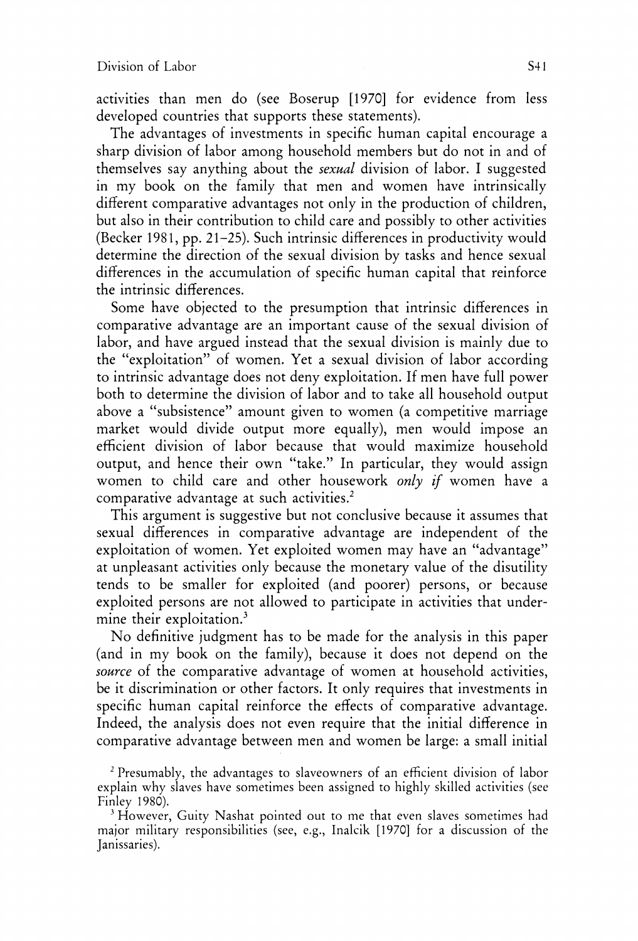activities than men do (see Boserup [1970] for evidence from less developed countries that supports these statements).

The advantages of investments in specific human capital encourage a sharp division of labor among household members but do not in and of themselves say anything about the *sexual* division of labor. I suggested in my book on the family that men and women have intrinsically different comparative advantages not only in the production of children, but also in their contribution to child care and possibly to other activities (Becker 1981, pp. 21-25). Such intrinsic differences in productivity would determine the direction of the sexual division by tasks and hence sexual differences in the accumulation of specific human capital that reinforce the intrinsic differences.

Some have objected to the presumption that intrinsic differences in comparative advantage are an important cause of the sexual division of labor, and have argued instead that the sexual division is mainly due to the "exploitation" of women. Yet a sexual division of labor according to intrinsic advantage does not deny exploitation. If men have full power both to determine the division of labor and to take all household output above a "subsistence" amount given to women (a competitive marriage market would divide output more equally), men would impose an efficient division of labor because that would maximize household output, and hence their own "take." In particular, they would assign women to child care and other housework only if women have a comparative advantage at such activities.<sup>2</sup>

This argument is suggestive but not conclusive because it assumes that sexual differences in comparative advantage are independent of the exploitation of women. Yet exploited women may have an "advantage" at unpleasant activities only because the monetary value of the disutility tends to be smaller for exploited (and poorer) persons, or because exploited persons are not allowed to participate in activities that undermine their exploitation.<sup>3</sup>

No definitive judgment has to be made for the analysis in this paper (and in my book on the family), because it does not depend on the source of the comparative advantage of women at household activities, be it discrimination or other factors. It only requires that investments in specific human capital reinforce the effects of comparative advantage. Indeed, the analysis does not even require that the initial difference in comparative advantage between men and women be large: a small initial

<sup>&</sup>lt;sup>2</sup> Presumably, the advantages to slaveowners of an efficient division of labor explain why slaves have sometimes been assigned to highly skilled activities (see Finley 1980).

<sup>&</sup>lt;sup>3</sup> However, Guity Nashat pointed out to me that even slaves sometimes had major military responsibilities (see, e.g., Inalcik [1970] for a discussion of the Janissaries).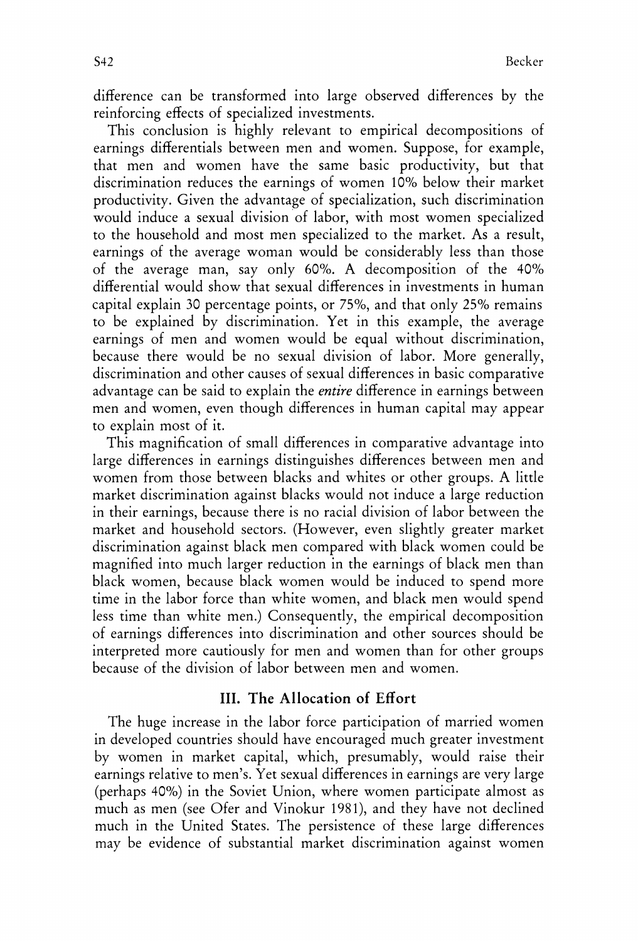difference can be transformed into large observed differences by the reinforcing effects of specialized investments.

This conclusion is highly relevant to empirical decompositions of earnings differentials between men and women. Suppose, for example, that men and women have the same basic productivity, but that discrimination reduces the earnings of women 10% below their market productivity. Given the advantage of specialization, such discrimination would induce a sexual division of labor, with most women specialized to the household and most men specialized to the market. As a result, earnings of the average woman would be considerably less than those of the average man, say only 60%. A decomposition of the 40% differential would show that sexual differences in investments in human capital explain 30 percentage points, or 75%, and that only 25% remains to be explained by discrimination. Yet in this example, the average earnings of men and women would be equal without discrimination, because there would be no sexual division of labor. More generally, discrimination and other causes of sexual differences in basic comparative advantage can be said to explain the *entire* difference in earnings between men and women, even though differences in human capital may appear to explain most of it.

This magnification of small differences in comparative advantage into large differences in earnings distinguishes differences between men and women from those between blacks and whites or other groups. A little market discrimination against blacks would not induce a large reduction in their earnings, because there is no racial division of labor between the market and household sectors. (However, even slightly greater market discrimination against black men compared with black women could be magnified into much larger reduction in the earnings of black men than black women, because black women would be induced to spend more time in the labor force than white women, and black men would spend less time than white men.) Consequently, the empirical decomposition of earnings differences into discrimination and other sources should be interpreted more cautiously for men and women than for other groups because of the division of labor between men and women.

## III. The Allocation of Effort

The huge increase in the labor force participation of married women in developed countries should have encouraged much greater investment by women in market capital, which, presumably, would raise their earnings relative to men's. Yet sexual differences in earnings are very large (perhaps 40%) in the Soviet Union, where women participate almost as much as men (see Ofer and Vinokur 1981), and they have not declined much in the United States. The persistence of these large differences may be evidence of substantial market discrimination against women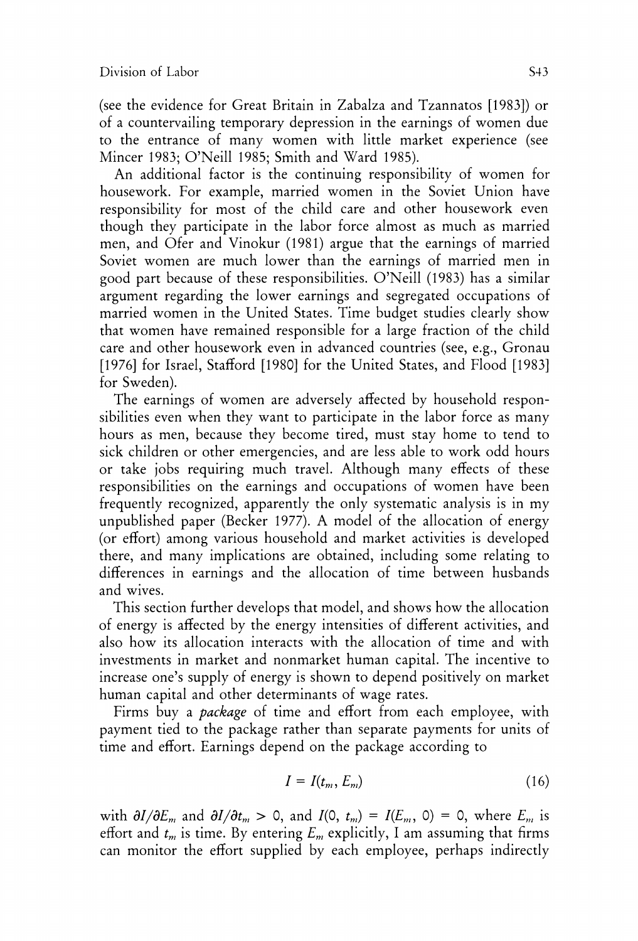(see the evidence for Great Britain in Zabalza and Tzannatos [1983]) or of a countervailing temporary depression in the earnings of women due to the entrance of many women with little market experience (see Mincer 1983; O'Neill 1985; Smith and Ward 1985).

An additional factor is the continuing responsibility of women for housework. For example, married women in the Soviet Union have responsibility for most of the child care and other housework even though they participate in the labor force almost as much as married men, and Ofer and Vinokur (1981) argue that the earnings of married Soviet women are much lower than the earnings of married men in good part because of these responsibilities. O'Neill (1983) has a similar argument regarding the lower earnings and segregated occupations of married women in the United States. Time budget studies clearly show that women have remained responsible for a large fraction of the child care and other housework even in advanced countries (see, e.g., Gronau [1976] for Israel, Stafford [1980] for the United States, and Flood [1983] for Sweden).

The earnings of women are adversely affected by household responsibilities even when they want to participate in the labor force as many hours as men, because they become tired, must stay home to tend to sick children or other emergencies, and are less able to work odd hours or take jobs requiring much travel. Although many effects of these responsibilities on the earnings and occupations of women have been frequently recognized, apparently the only systematic analysis is in my unpublished paper (Becker 1977). A model of the allocation of energy (or effort) among various household and market activities is developed there, and many implications are obtained, including some relating to differences in earnings and the allocation of time between husbands and wives.

This section further develops that model, and shows how the allocation of energy is affected by the energy intensities of different activities, and also how its allocation interacts with the allocation of time and with investments in market and nonmarket human capital. The incentive to increase one's supply of energy is shown to depend positively on market human capital and other determinants of wage rates.

Firms buy a *package* of time and effort from each employee, with payment tied to the package rather than separate payments for units of time and effort. Earnings depend on the package according to

$$
I = I(t_m, E_m) \tag{16}
$$

with  $\partial I/\partial E_m$  and  $\partial I/\partial t_m > 0$ , and  $I(0, t_m) = I(E_m, 0) = 0$ , where  $E_m$  is effort and  $t_m$  is time. By entering  $E_m$  explicitly, I am assuming that firms can monitor the effort supplied by each employee, perhaps indirectly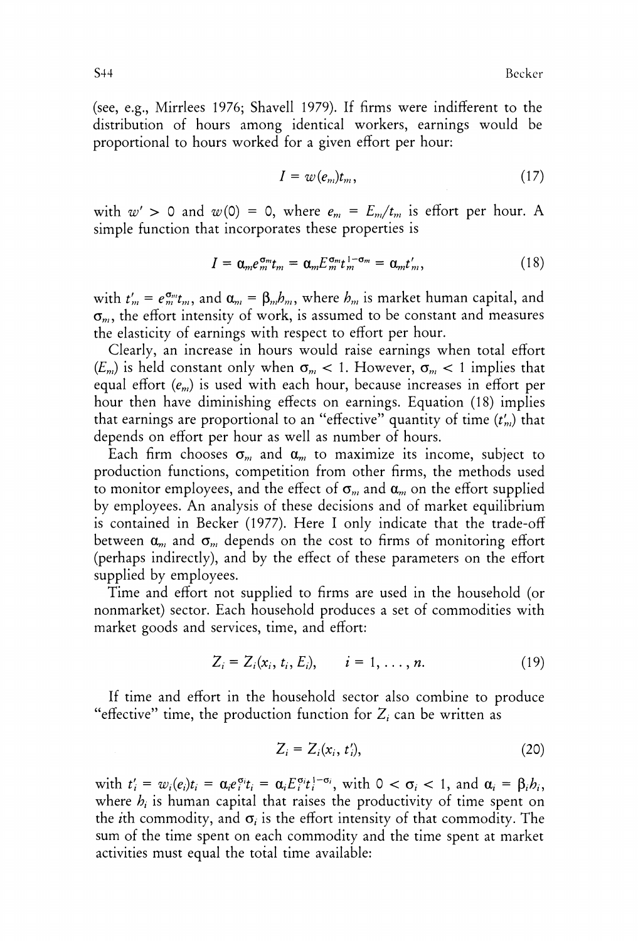(see, e.g., Mirrlees 1976; Shavell 1979). If firms were indifferent to the distribution of hours among identical workers, earnings would be proportional to hours worked for a given effort per hour:

$$
I = w(e_m)t_m, \t\t(17)
$$

with  $w' > 0$  and  $w(0) = 0$ , where  $e_m = E_m/t_m$  is effort per hour. A simple function that incorporates these properties is

$$
I = \mathbf{a}_m e_m^{\sigma_m} t_m = \mathbf{a}_m E_m^{\sigma_m} t_m^{1-\sigma_m} = \mathbf{a}_m t'_m, \qquad (18)
$$

with  $t'_m = e_m^{\sigma_m} t_m$ , and  $\alpha_m = \beta_m b_m$ , where  $b_m$  is market human capital, and  $\sigma_m$ , the effort intensity of work, is assumed to be constant and measures the elasticity of earnings with respect to effort per hour.

Clearly, an increase in hours would raise earnings when total effort  $(E_m)$  is held constant only when  $\sigma_m < 1$ . However,  $\sigma_m < 1$  implies that equal effort  $(e_m)$  is used with each hour, because increases in effort per hour then have diminishing effects on earnings. Equation (18) implies that earnings are proportional to an "effective" quantity of time  $(t'_n)$  that depends on effort per hour as well as number of hours.

Each firm chooses  $\sigma_m$  and  $\alpha_m$  to maximize its income, subject to production functions, competition from other firms, the methods used to monitor employees, and the effect of  $\sigma_m$  and  $\alpha_m$  on the effort supplied by employees. An analysis of these decisions and of market equilibrium is contained in Becker (1977). Here I only indicate that the trade-off between  $\alpha_m$  and  $\sigma_m$  depends on the cost to firms of monitoring effort (perhaps indirectly), and by the effect of these parameters on the effort supplied by employees.

Time and effort not supplied to firms are used in the household (or nonmarket) sector. Each household produces a set of commodities with market goods and services, time, and effort:

$$
Z_i = Z_i(x_i, t_i, E_i), \qquad i = 1, ..., n. \tag{19}
$$

If time and effort in the household sector also combine to produce "effective" time, the production function for  $Z_i$  can be written as

$$
Z_i = Z_i(x_i, t'_i), \tag{20}
$$

with  $t'_i = w_i(e_i)t_i = \alpha_i e_i^{\sigma_i} t_i = \alpha_i E_i^{\sigma_i} t_i^{1-\sigma_i}$ , with  $0 < \sigma_i < 1$ , and  $\alpha_i = \beta_i h_i$ , where  $b_i$  is human capital that raises the productivity of time spent on the *i*th commodity, and  $\sigma_i$  is the effort intensity of that commodity. The sum of the time spent on each commodity and the time spent at market activities must equal the total time available: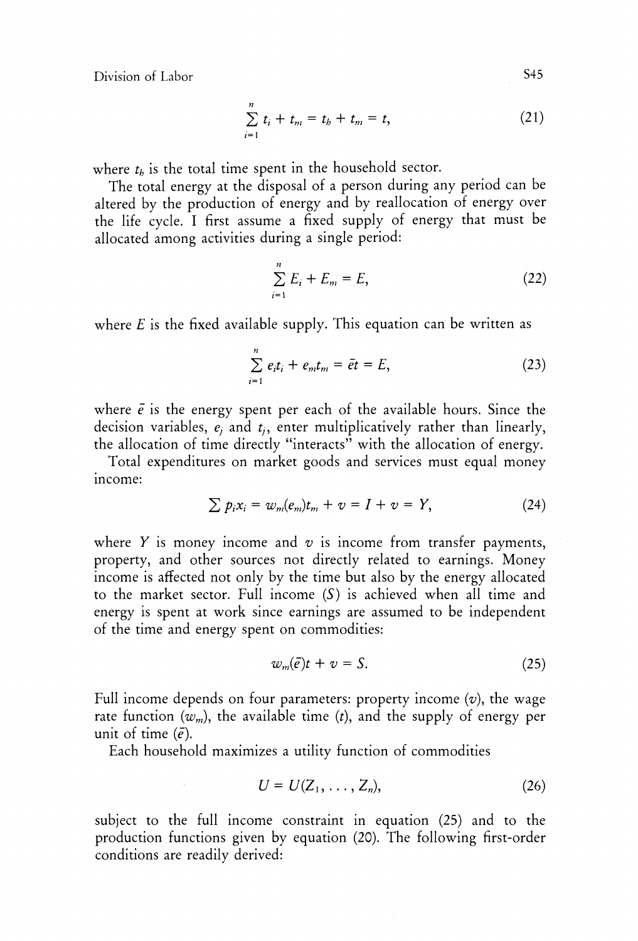Division of Labor

$$
\sum_{i=1}^{n} t_i + t_m = t_b + t_m = t,
$$
 (21)

where  $t<sub>h</sub>$  is the total time spent in the household sector.

The total energy at the disposal of a person during any period can be altered by the production of energy and by reallocation of energy over the life cycle. I first assume a fixed supply of energy that must be allocated among activities during a single period:

$$
\sum_{i=1}^{n} E_i + E_m = E,
$$
 (22)

where  $E$  is the fixed available supply. This equation can be written as

$$
\sum_{i=1}^{n} e_{i}t_{i} + e_{m}t_{m} = \bar{e}t = E,
$$
\n(23)

where  $\bar{e}$  is the energy spent per each of the available hours. Since the decision variables,  $e_i$  and  $t_i$ , enter multiplicatively rather than linearly, the allocation of time directly "interacts" with the allocation of energy.

Total expenditures on market goods and services must equal money income:

$$
\sum p_i x_i = w_m(e_m)t_m + v = I + v = Y, \qquad (24)
$$

where Y is money income and  $v$  is income from transfer payments, property, and other sources not directly related to earnings. Money income is affected not only by the time but also by the energy allocated to the market sector. Full income (S) is achieved when all time and energy is spent at work since earnings are assumed to be independent of the time and energy spent on commodities:

$$
w_m(\bar{e})t + v = S. \tag{25}
$$

Full income depends on four parameters: property income  $(v)$ , the wage rate function  $(w_m)$ , the available time (t), and the supply of energy per unit of time  $(\bar{e})$ .

Each household maximizes a utility function of commodities

$$
U = U(Z_1, \ldots, Z_n), \qquad (26)
$$

subject to the full income constraint in equation (25) and to the production functions given by equation (20). The following first-order conditions are readily derived: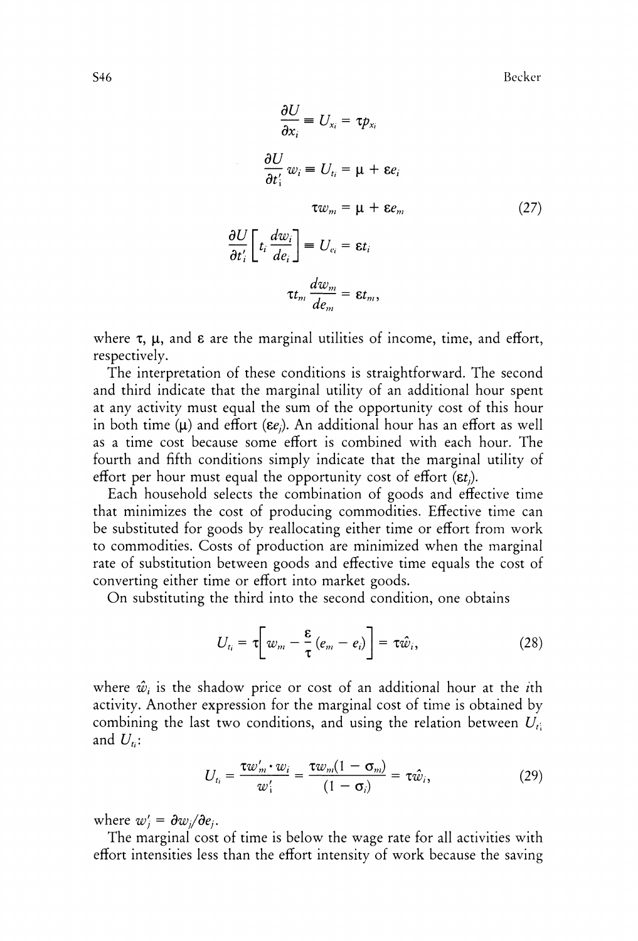Becker

$$
\frac{\partial U}{\partial x_i} = U_{x_i} = \tau p_{x_i}
$$
\n
$$
\frac{\partial U}{\partial t'_i} w_i = U_{t_i} = \mu + \varepsilon e_i
$$
\n
$$
\tau w_m = \mu + \varepsilon e_m
$$
\n
$$
\frac{\partial U}{\partial t'_i} \left[ t_i \frac{dw_i}{de_i} \right] = U_{e_i} = \varepsilon t_i
$$
\n
$$
\tau t_m \frac{dw_m}{de_m} = \varepsilon t_m,
$$
\n(27)

where  $\tau$ ,  $\mu$ , and  $\epsilon$  are the marginal utilities of income, time, and effort, respectively.

The interpretation of these conditions is straightforward. The second and third indicate that the marginal utility of an additional hour spent at any activity must equal the sum of the opportunity cost of this hour in both time  $(\mu)$  and effort ( $\epsilon e$ ). An additional hour has an effort as well as a time cost because some effort is combined with each hour. The fourth and fifth conditions simply indicate that the marginal utility of effort per hour must equal the opportunity cost of effort  $(\epsilon t_i)$ .

Each household selects the combination of goods and effective time that minimizes the cost of producing commodities. Effective time can be substituted for goods by reallocating either time or effort from work to commodities. Costs of production are minimized when the marginal rate of substitution between goods and effective time equals the cost of converting either time or effort into market goods.

On substituting the third into the second condition, one obtains

$$
U_{t_i} = \tau \bigg[ w_m - \frac{\varepsilon}{\tau} \left( e_m - e_i \right) \bigg] = \tau \hat{w}_i, \tag{28}
$$

where  $\hat{w}_i$  is the shadow price or cost of an additional hour at the *i*th activity. Another expression for the marginal cost of time is obtained by combining the last two conditions, and using the relation between  $U_t$ and  $U_n$ :

$$
U_{t_i} = \frac{\tau w'_m \cdot w_i}{w'_i} = \frac{\tau w_m (1 - \sigma_m)}{(1 - \sigma_i)} = \tau \hat{w}_i, \qquad (29)
$$

where  $w_i = \frac{\partial w_i}{\partial e_i}$ .

The marginal cost of time is below the wage rate for all activities with effort intensities less than the effort intensity of work because the saving

S<sub>46</sub>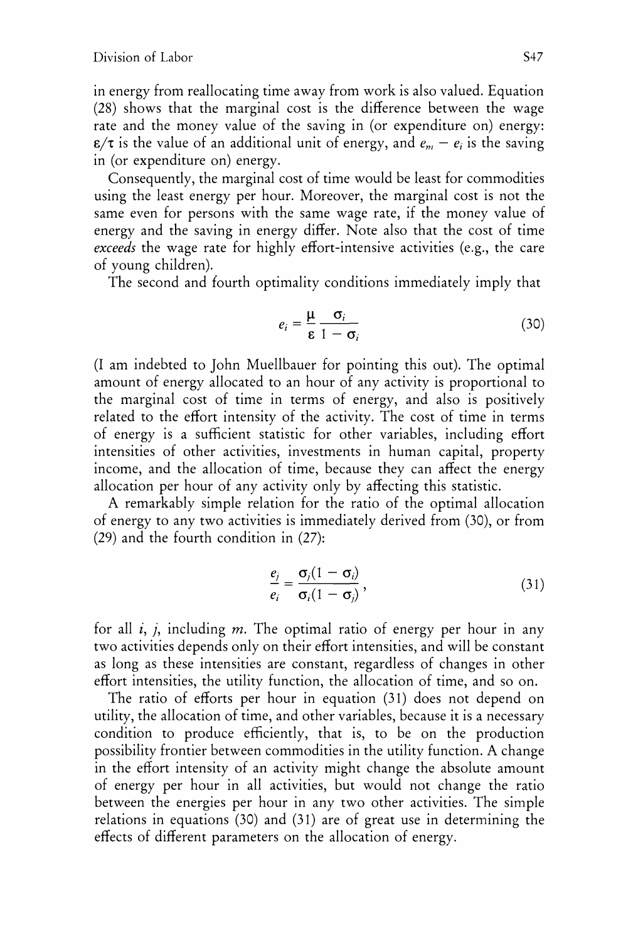in energy from reallocating time away from work is also valued. Equation (28) shows that the marginal cost is the difference between the wage rate and the money value of the saving in (or expenditure on) energy:  $\epsilon/\tau$  is the value of an additional unit of energy, and  $e_m - e_i$  is the saving in (or expenditure on) energy.

Consequently, the marginal cost of time would be least for commodities using the least energy per hour. Moreover, the marginal cost is not the same even for persons with the same wage rate, if the money value of energy and the saving in energy differ. Note also that the cost of time exceeds the wage rate for highly effort-intensive activities (e.g., the care of young children).

The second and fourth optimality conditions immediately imply that

$$
e_i = \frac{\mu}{\epsilon} \frac{\sigma_i}{1 - \sigma_i} \tag{30}
$$

(I am indebted to John Muellbauer for pointing this out). The optimal amount of energy allocated to an hour of any activity is proportional to the marginal cost of time in terms of energy, and also is positively related to the effort intensity of the activity. The cost of time in terms of energy is a sufficient statistic for other variables, including effort intensities of other activities, investments in human capital, property income, and the allocation of time, because they can affect the energy allocation per hour of any activity only by affecting this statistic.

A remarkably simple relation for the ratio of the optimal allocation of energy to any two activities is immediately derived from (30), or from  $(29)$  and the fourth condition in  $(27)$ :

$$
\frac{e_j}{e_i} = \frac{\sigma_j (1 - \sigma_i)}{\sigma_i (1 - \sigma_j)},
$$
\n(31)

for all  $i$ ,  $j$ , including  $m$ . The optimal ratio of energy per hour in any two activities depends only on their effort intensities, and will be constant as long as these intensities are constant, regardless of changes in other effort intensities, the utility function, the allocation of time, and so on.

The ratio of efforts per hour in equation (31) does not depend on utility, the allocation of time, and other variables, because it is a necessary condition to produce efficiently, that is, to be on the production possibility frontier between commodities in the utility function. A change in the effort intensity of an activity might change the absolute amount of energy per hour in all activities, but would not change the ratio between the energies per hour in any two other activities. The simple relations in equations (30) and (31) are of great use in determining the effects of different parameters on the allocation of energy.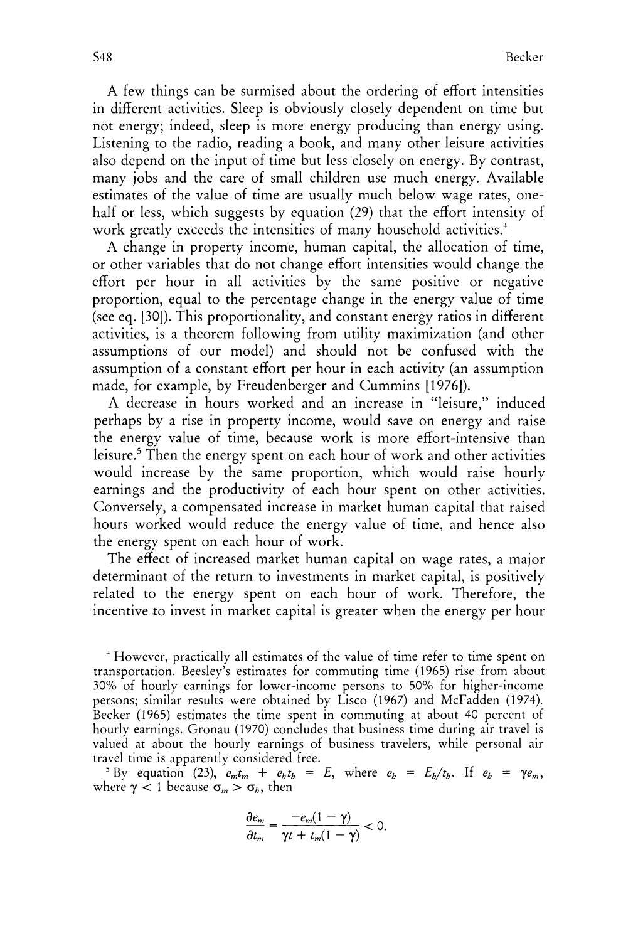A few things can be surmised about the ordering of effort intensities in different activities. Sleep is obviously closely dependent on time but not energy; indeed, sleep is more energy producing than energy using. Listening to the radio, reading a book, and many other leisure activities also depend on the input of time but less closely on energy. By contrast, many jobs and the care of small children use much energy. Available estimates of the value of time are usually much below wage rates, onehalf or less, which suggests by equation (29) that the effort intensity of work greatly exceeds the intensities of many household activities.<sup>4</sup>

A change in property income, human capital, the allocation of time, or other variables that do not change effort intensities would change the effort per hour in all activities by the same positive or negative proportion, equal to the percentage change in the energy value of time (see eq. [30]). This proportionality, and constant energy ratios in different activities, is a theorem following from utility maximization (and other assumptions of our model) and should not be confused with the assumption of a constant effort per hour in each activity (an assumption made, for example, by Freudenberger and Cummins [1976]).

A decrease in hours worked and an increase in "leisure," induced perhaps by a rise in property income, would save on energy and raise the energy value of time, because work is more effort-intensive than leisure.<sup>5</sup> Then the energy spent on each hour of work and other activities would increase by the same proportion, which would raise hourly earnings and the productivity of each hour spent on other activities. Conversely, a compensated increase in market human capital that raised hours worked would reduce the energy value of time, and hence also the energy spent on each hour of work.

The effect of increased market human capital on wage rates, a major determinant of the return to investments in market capital, is positively related to the energy spent on each hour of work. Therefore, the incentive to invest in market capital is greater when the energy per hour

<sup>4</sup> However, practically all estimates of the value of time refer to time spent on transportation. Beesley's estimates for commuting time (1965) rise from about 30% of hourly earnings for lower-income persons to 50% for higher-income persons; similar results were obtained by Lisco (1967) and McFadden (1974). Becker (1965) estimates the time spent in commuting at about 40 percent of hourly earnings. Gronau (1970) concludes that business time during air travel is valued at about the hourly earnings of business travelers, while personal air travel time is apparently considered free.

<sup>5</sup> By equation (23),  $e_m t_m + e_b t_b = E$ , where  $e_b = E_b/t_b$ . If  $e_b = \gamma e_m$ , where  $\gamma$  < 1 because  $\sigma_m > \sigma_b$ , then

$$
\frac{\partial e_m}{\partial t_m} = \frac{-e_m(1-\gamma)}{\gamma t + t_m(1-\gamma)} < 0.
$$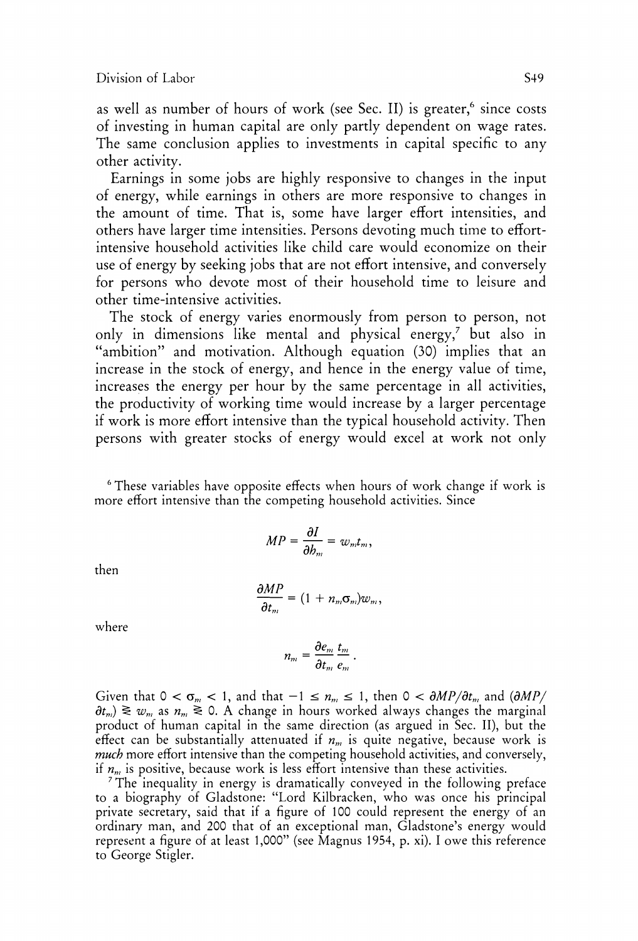as well as number of hours of work (see Sec. II) is greater,<sup>6</sup> since costs of investing in human capital are only partly dependent on wage rates. The same conclusion applies to investments in capital specific to any other activity.

Earnings in some jobs are highly responsive to changes in the input of energy, while earnings in others are more responsive to changes in the amount of time. That is, some have larger effort intensities, and others have larger time intensities. Persons devoting much time to effortintensive household activities like child care would economize on their use of energy by seeking jobs that are not effort intensive, and conversely for persons who devote most of their household time to leisure and other time-intensive activities.

The stock of energy varies enormously from person to person, not only in dimensions like mental and physical energy,<sup>7</sup> but also in "ambition" and motivation. Although equation (30) implies that an increase in the stock of energy, and hence in the energy value of time, increases the energy per hour by the same percentage in all activities, the productivity of working time would increase by a larger percentage if work is more effort intensive than the typical household activity. Then persons with greater stocks of energy would excel at work not only

<sup>6</sup> These variables have opposite effects when hours of work change if work is more effort intensive than the competing household activities. Since

$$
MP = \frac{\partial I}{\partial b_m} = w_m t_m,
$$

then

$$
\frac{\partial MP}{\partial t_m} = (1 + n_m \sigma_m) w_m,
$$

where

$$
n_m=\frac{\partial e_m}{\partial t_m}\frac{t_m}{e_m}.
$$

Given that  $0 < \sigma_m < 1$ , and that  $-1 \le n_m \le 1$ , then  $0 < \partial MP/\partial t_m$  and  $(\partial MP/\partial t_m)$  $\partial t_m$ )  $\geq w_m$  as  $n_m \geq 0$ . A change in hours worked always changes the marginal product of human capital in the same direction (as argued in Sec. II), but the effect can be substantially attenuated if  $n_m$  is quite negative, because work is much more effort intensive than the competing household activities, and conversely, if  $n_m$  is positive, because work is less effort intensive than these activities.

<sup>7</sup> The inequality in energy is dramatically conveyed in the following preface to a biography of Gladstone: "Lord Kilbracken, who was once his principal private secretary, said that if a figure of 100 could represent the energy of an ordinary man, and 200 that of an exceptional man, Gladstone's energy would represent a figure of at least 1,000" (see Magnus 1954, p. xi). I owe this reference to George Stigler.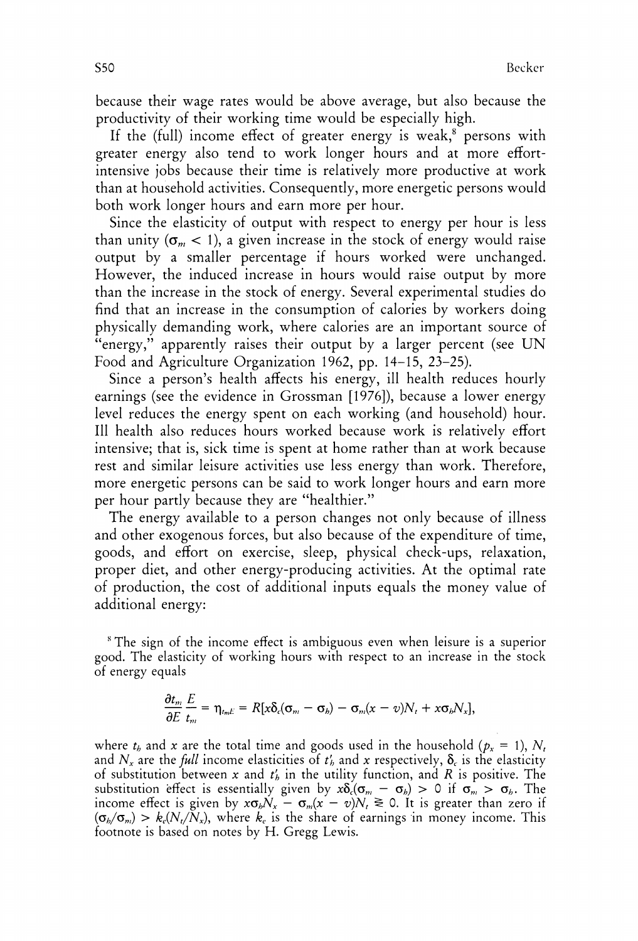because their wage rates would be above average, but also because the productivity of their working time would be especially high.

If the (full) income effect of greater energy is weak,<sup>8</sup> persons with greater energy also tend to work longer hours and at more effortintensive jobs because their time is relatively more productive at work than at household activities. Consequently, more energetic persons would both work longer hours and earn more per hour.

Since the elasticity of output with respect to energy per hour is less than unity ( $\sigma_m$  < 1), a given increase in the stock of energy would raise output by a smaller percentage if hours worked were unchanged. However, the induced increase in hours would raise output by more than the increase in the stock of energy. Several experimental studies do find that an increase in the consumption of calories by workers doing physically demanding work, where calories are an important source of "energy," apparently raises their output by a larger percent (see UN Food and Agriculture Organization 1962, pp. 14-15, 23-25).

Since a person's health affects his energy, ill health reduces hourly earnings (see the evidence in Grossman [1976]), because a lower energy level reduces the energy spent on each working (and household) hour. Ill health also reduces hours worked because work is relatively effort intensive; that is, sick time is spent at home rather than at work because rest and similar leisure activities use less energy than work. Therefore, more energetic persons can be said to work longer hours and earn more per hour partly because they are "healthier."

The energy available to a person changes not only because of illness and other exogenous forces, but also because of the expenditure of time, goods, and effort on exercise, sleep, physical check-ups, relaxation, proper diet, and other energy-producing activities. At the optimal rate of production, the cost of additional inputs equals the money value of additional energy:

<sup>8</sup> The sign of the income effect is ambiguous even when leisure is a superior good. The elasticity of working hours with respect to an increase in the stock of energy equals

$$
\frac{\partial t_m}{\partial E} \frac{E}{t_m} = \eta_{l_m l} = R[x \delta_c(\sigma_m - \sigma_b) - \sigma_m(x - v)N_t + x \sigma_b N_x],
$$

where  $t_h$  and x are the total time and goods used in the household ( $p_x = 1$ ),  $N_t$ and  $N_x$  are the full income elasticities of  $t'_b$  and x respectively,  $\delta_c$  is the elasticity of substitution between x and  $t'_b$  in the utility function, and R is positive. The substitution effect is essentially given by  $x\delta_i(\sigma_m - \sigma_b) > 0$  if  $\sigma_m > \sigma_b$ . The income effect is given by  $x\sigma_bN_x - \sigma_m(x - v)N_t \ge 0$ . It is greater than zero if  $(\sigma_h/\sigma_m) > k_c(N_t/N_x)$ , where  $k_c$  is the share of earnings in money income. This footnote is based on notes by H. Gregg Lewis.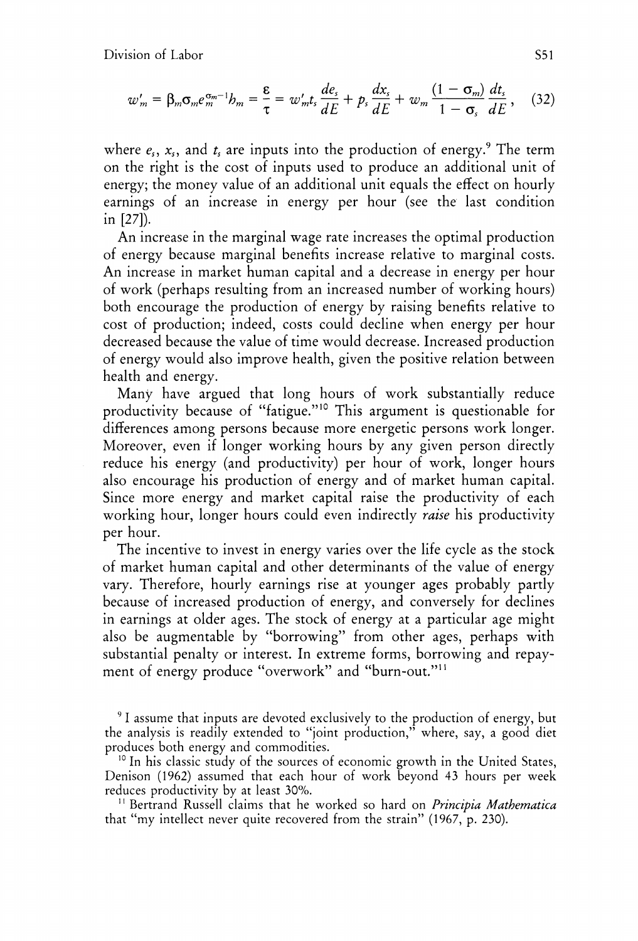$$
w'_{m} = \beta_{m} \sigma_{m} e_{m}^{\sigma_{m}-1} b_{m} = \frac{\varepsilon}{\tau} = w'_{m} t_{s} \frac{d e_{s}}{d E} + p_{s} \frac{d x_{s}}{d E} + w_{m} \frac{(1-\sigma_{m})}{1-\sigma_{s}} \frac{d t_{s}}{d E}, \quad (32)
$$

where  $e_s$ ,  $x_s$ , and  $t_s$  are inputs into the production of energy.<sup>9</sup> The term on the right is the cost of inputs used to produce an additional unit of energy; the money value of an additional unit equals the effect on hourly earnings of an increase in energy per hour (see the last condition in [27]).

An increase in the marginal wage rate increases the optimal production of energy because marginal benefits increase relative to marginal costs. An increase in market human capital and a decrease in energy per hour of work (perhaps resulting from an increased number of working hours) both encourage the production of energy by raising benefits relative to cost of production; indeed, costs could decline when energy per hour decreased because the value of time would decrease. Increased production of energy would also improve health, given the positive relation between health and energy.

Many have argued that long hours of work substantially reduce productivity because of "fatigue."<sup>10</sup> This argument is questionable for differences among persons because more energetic persons work longer. Moreover, even if longer working hours by any given person directly reduce his energy (and productivity) per hour of work, longer hours also encourage his production of energy and of market human capital. Since more energy and market capital raise the productivity of each working hour, longer hours could even indirectly raise his productivity per hour.

The incentive to invest in energy varies over the life cycle as the stock of market human capital and other determinants of the value of energy vary. Therefore, hourly earnings rise at younger ages probably partly because of increased production of energy, and conversely for declines in earnings at older ages. The stock of energy at a particular age might also be augmentable by "borrowing" from other ages, perhaps with substantial penalty or interest. In extreme forms, borrowing and repayment of energy produce "overwork" and "burn-out."<sup>11</sup>

<sup>9</sup> I assume that inputs are devoted exclusively to the production of energy, but the analysis is readily extended to "joint production," where, say, a good diet produces both energy and commodities.

<sup>10</sup> In his classic study of the sources of economic growth in the United States, Denison (1962) assumed that each hour of work beyond 43 hours per week reduces productivity by at least 30%.

<sup>11</sup> Bertrand Russell claims that he worked so hard on Principia Mathematica that "my intellect never quite recovered from the strain" (1967, p. 230).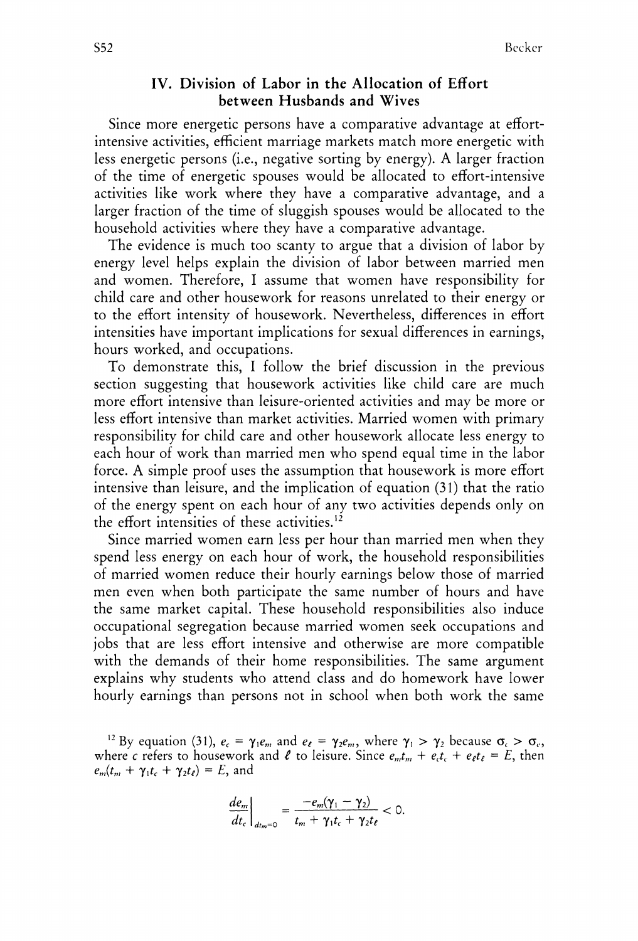## IV. Division of Labor in the Allocation of Effort between Husbands and Wives

Since more energetic persons have a comparative advantage at effortintensive activities, efficient marriage markets match more energetic with less energetic persons (i.e., negative sorting by energy). A larger fraction of the time of energetic spouses would be allocated to effort-intensive activities like work where they have a comparative advantage, and a larger fraction of the time of sluggish spouses would be allocated to the household activities where they have a comparative advantage.

The evidence is much too scanty to argue that a division of labor by energy level helps explain the division of labor between married men and women. Therefore, I assume that women have responsibility for child care and other housework for reasons unrelated to their energy or to the effort intensity of housework. Nevertheless, differences in effort intensities have important implications for sexual differences in earnings, hours worked, and occupations.

To demonstrate this, I follow the brief discussion in the previous section suggesting that housework activities like child care are much more effort intensive than leisure-oriented activities and may be more or less effort intensive than market activities. Married women with primary responsibility for child care and other housework allocate less energy to each hour of work than married men who spend equal time in the labor force. A simple proof uses the assumption that housework is more effort intensive than leisure, and the implication of equation (31) that the ratio of the energy spent on each hour of any two activities depends only on the effort intensities of these activities.<sup>12</sup>

Since married women earn less per hour than married men when they spend less energy on each hour of work, the household responsibilities of married women reduce their hourly earnings below those of married men even when both participate the same number of hours and have the same market capital. These household responsibilities also induce occupational segregation because married women seek occupations and jobs that are less effort intensive and otherwise are more compatible with the demands of their home responsibilities. The same argument explains why students who attend class and do homework have lower hourly earnings than persons not in school when both work the same

<sup>12</sup> By equation (31),  $e_c = \gamma_1 e_m$  and  $e_{\ell} = \gamma_2 e_m$ , where  $\gamma_1 > \gamma_2$  because  $\sigma_c > \sigma_c$ , where c refers to housework and  $\ell$  to leisure. Since  $e_m t_m + e_c t_c + e_{\ell} t_{\ell} = E$ , then  $e_m(t_m + \gamma_1 t_c + \gamma_2 t_e) = E$ , and

$$
\left.\frac{de_m}{dt_c}\right|_{dt_m=0}=\frac{-e_m(\gamma_1-\gamma_2)}{t_m+\gamma_1t_c+\gamma_2t_e}<0.
$$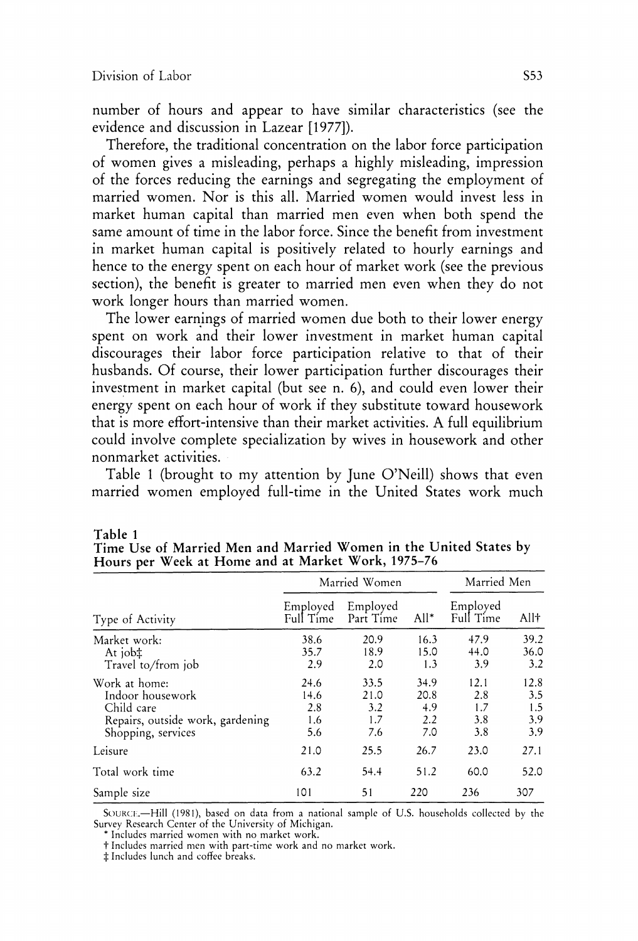number of hours and appear to have similar characteristics (see the evidence and discussion in Lazear [1977]).

Therefore, the traditional concentration on the labor force participation of women gives a misleading, perhaps a highly misleading, impression of the forces reducing the earnings and segregating the employment of married women. Nor is this all. Married women would invest less in market human capital than married men even when both spend the same amount of time in the labor force. Since the benefit from investment in market human capital is positively related to hourly earnings and hence to the energy spent on each hour of market work (see the previous section), the benefit is greater to married men even when they do not work longer hours than married women.

The lower earnings of married women due both to their lower energy spent on work and their lower investment in market human capital discourages their labor force participation relative to that of their husbands. Of course, their lower participation further discourages their investment in market capital (but see n. 6), and could even lower their energy spent on each hour of work if they substitute toward housework that is more effort-intensive than their market activities. A full equilibrium could involve complete specialization by wives in housework and other nonmarket activities.

Table 1 (brought to my attention by June O'Neill) shows that even married women employed full-time in the United States work much

| Type of Activity                                                                                          | Married Women                     |                                   |                                   | Married Men                      |                                  |
|-----------------------------------------------------------------------------------------------------------|-----------------------------------|-----------------------------------|-----------------------------------|----------------------------------|----------------------------------|
|                                                                                                           | Employed<br>Full Time             | Employed<br>Part Time             | $All*$                            | Employed<br>Full Time            | All <sup>+</sup>                 |
| Market work:<br>At job‡<br>Travel to/from job                                                             | 38.6<br>35.7<br>2.9               | 20.9<br>18.9<br>2.0               | 16.3<br>15.0<br>1.3               | 47.9<br>44.0<br>3.9              | 39.2<br>36.0<br>3.2              |
| Work at home:<br>Indoor housework<br>Child care<br>Repairs, outside work, gardening<br>Shopping, services | 24.6<br>14.6<br>2.8<br>1.6<br>5.6 | 33.5<br>21.0<br>3.2<br>1.7<br>7.6 | 34.9<br>20.8<br>4.9<br>2.2<br>7.0 | 12.1<br>2.8<br>1.7<br>3.8<br>3.8 | 12.8<br>3.5<br>1.5<br>3.9<br>3.9 |
| Leisure                                                                                                   | 21.0                              | 25.5                              | 26.7                              | 23.0                             | 27.1                             |
| Total work time                                                                                           | 63.2                              | 54.4                              | 51.2                              | 60.0                             | 52.0                             |
| Sample size                                                                                               | 101                               | 51                                | 220                               | 236                              | 307                              |

Table 1 Time Use of Married Men and Married Women in the United States by Hours per Week at Home and at Market Work, 1975-76

SOURCE.-Hill (1981), based on data from a national sample of U.S. households collected by the Survey Research Center of the University of Michigan.

Includes married women with no market work.

† Includes married men with part-time work and no market work.

# Includes lunch and coffee breaks.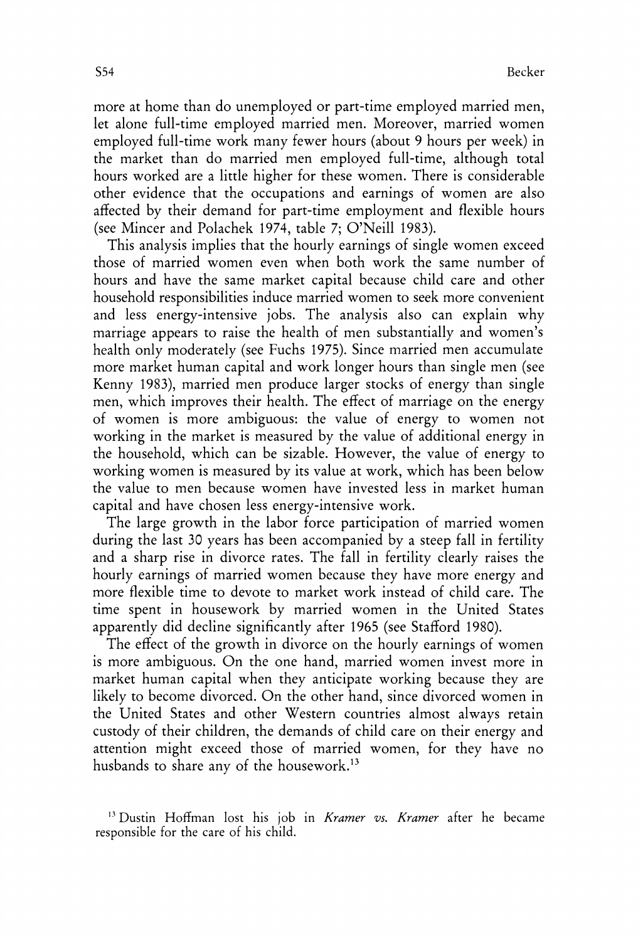more at home than do unemployed or part-time employed married men, let alone full-time employed married men. Moreover, married women employed full-time work many fewer hours (about 9 hours per week) in the market than do married men employed full-time, although total hours worked are a little higher for these women. There is considerable other evidence that the occupations and earnings of women are also affected by their demand for part-time employment and flexible hours (see Mincer and Polachek 1974, table 7; O'Neill 1983).

This analysis implies that the hourly earnings of single women exceed those of married women even when both work the same number of hours and have the same market capital because child care and other household responsibilities induce married women to seek more convenient and less energy-intensive jobs. The analysis also can explain why marriage appears to raise the health of men substantially and women's health only moderately (see Fuchs 1975). Since married men accumulate more market human capital and work longer hours than single men (see Kenny 1983), married men produce larger stocks of energy than single men, which improves their health. The effect of marriage on the energy of women is more ambiguous: the value of energy to women not working in the market is measured by the value of additional energy in the household, which can be sizable. However, the value of energy to working women is measured by its value at work, which has been below the value to men because women have invested less in market human capital and have chosen less energy-intensive work.

The large growth in the labor force participation of married women during the last 30 years has been accompanied by a steep fall in fertility and a sharp rise in divorce rates. The fall in fertility clearly raises the hourly earnings of married women because they have more energy and more flexible time to devote to market work instead of child care. The time spent in housework by married women in the United States apparently did decline significantly after 1965 (see Stafford 1980).

The effect of the growth in divorce on the hourly earnings of women is more ambiguous. On the one hand, married women invest more in market human capital when they anticipate working because they are likely to become divorced. On the other hand, since divorced women in the United States and other Western countries almost always retain custody of their children, the demands of child care on their energy and attention might exceed those of married women, for they have no husbands to share any of the housework.<sup>13</sup>

<sup>&</sup>lt;sup>13</sup> Dustin Hoffman lost his job in Kramer vs. Kramer after he became responsible for the care of his child.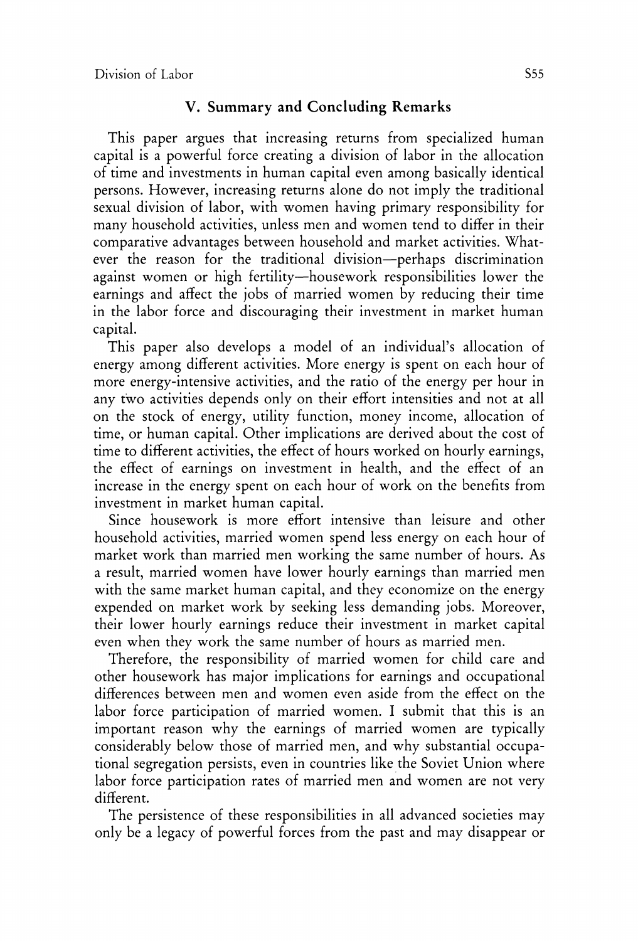# V. Summary and Concluding Remarks

This paper argues that increasing returns from specialized human capital is a powerful force creating a division of labor in the allocation of time and investments in human capital even among basically identical persons. However, increasing returns alone do not imply the traditional sexual division of labor, with women having primary responsibility for many household activities, unless men and women tend to differ in their comparative advantages between household and market activities. Whatever the reason for the traditional division-perhaps discrimination against women or high fertility-housework responsibilities lower the earnings and affect the jobs of married women by reducing their time in the labor force and discouraging their investment in market human capital.

This paper also develops a model of an individual's allocation of energy among different activities. More energy is spent on each hour of more energy-intensive activities, and the ratio of the energy per hour in any two activities depends only on their effort intensities and not at all on the stock of energy, utility function, money income, allocation of time, or human capital. Other implications are derived about the cost of time to different activities, the effect of hours worked on hourly earnings, the effect of earnings on investment in health, and the effect of an increase in the energy spent on each hour of work on the benefits from investment in market human capital.

Since housework is more effort intensive than leisure and other household activities, married women spend less energy on each hour of market work than married men working the same number of hours. As a result, married women have lower hourly earnings than married men with the same market human capital, and they economize on the energy expended on market work by seeking less demanding jobs. Moreover, their lower hourly earnings reduce their investment in market capital even when they work the same number of hours as married men.

Therefore, the responsibility of married women for child care and other housework has major implications for earnings and occupational differences between men and women even aside from the effect on the labor force participation of married women. I submit that this is an important reason why the earnings of married women are typically considerably below those of married men, and why substantial occupational segregation persists, even in countries like the Soviet Union where labor force participation rates of married men and women are not very different.

The persistence of these responsibilities in all advanced societies may only be a legacy of powerful forces from the past and may disappear or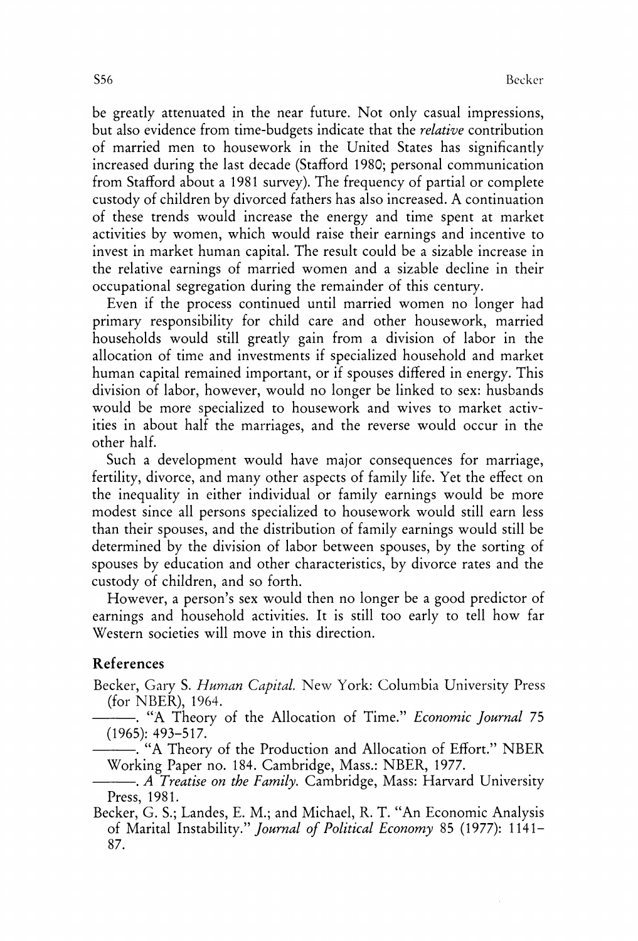be greatly attenuated in the near future. Not only casual impressions, but also evidence from time-budgets indicate that the *relative* contribution of married men to housework in the United States has significantly increased during the last decade (Stafford 1980; personal communication from Stafford about a 1981 survey). The frequency of partial or complete custody of children by divorced fathers has also increased. A continuation of these trends would increase the energy and time spent at market activities by women, which would raise their earnings and incentive to invest in market human capital. The result could be a sizable increase in the relative earnings of married women and a sizable decline in their occupational segregation during the remainder of this century.

Even if the process continued until married women no longer had primary responsibility for child care and other housework, married households would still greatly gain from a division of labor in the allocation of time and investments if specialized household and market human capital remained important, or if spouses differed in energy. This division of labor, however, would no longer be linked to sex: husbands would be more specialized to housework and wives to market activities in about half the marriages, and the reverse would occur in the other half.

Such a development would have major consequences for marriage, fertility, divorce, and many other aspects of family life. Yet the effect on the inequality in either individual or family earnings would be more modest since all persons specialized to housework would still earn less than their spouses, and the distribution of family earnings would still be determined by the division of labor between spouses, by the sorting of spouses by education and other characteristics, by divorce rates and the custody of children, and so forth.

However, a person's sex would then no longer be a good predictor of earnings and household activities. It is still too early to tell how far Western societies will move in this direction.

# References

Becker, Gary S. Human Capital. New York: Columbia University Press (for NBER), 1964.

-. "A Theory of the Allocation of Time." Economic Journal 75  $(1965): 493 - 517.$ 

-. "A Theory of the Production and Allocation of Effort." NBER Working Paper no. 184. Cambridge, Mass.: NBER, 1977.

- A Treatise on the Family. Cambridge, Mass: Harvard University Press, 1981.

Becker, G. S.; Landes, E. M.; and Michael, R. T. "An Economic Analysis of Marital Instability." Journal of Political Economy 85 (1977): 1141-87.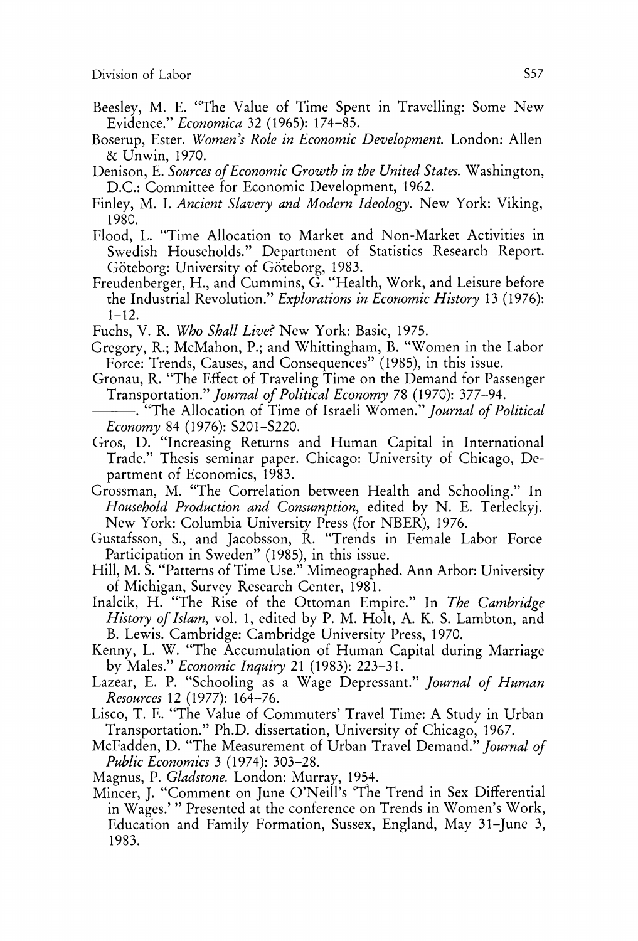- Beesley, M. E. "The Value of Time Spent in Travelling: Some New Evidence." *Economica* 32 (1965): 174-85.
- Boserup, Ester. Women's Role in Economic Development. London: Allen & Unwin, 1970.
- Denison, E. Sources of Economic Growth in the United States. Washington, D.C.: Committee for Economic Development, 1962.
- Finley, M. I. Ancient Slavery and Modern Ideology. New York: Viking, 1980.
- Flood, L. "Time Allocation to Market and Non-Market Activities in Swedish Households." Department of Statistics Research Report. Göteborg: University of Göteborg, 1983.
- Freudenberger, H., and Cummins, G. "Health, Work, and Leisure before the Industrial Revolution." *Explorations in Economic History* 13 (1976):  $1 - 12.$
- Fuchs, V. R. Who Shall Live? New York: Basic, 1975.
- Gregory, R.; McMahon, P.; and Whittingham, B. "Women in the Labor Force: Trends, Causes, and Consequences" (1985), in this issue.
- Gronau, R. "The Effect of Traveling Time on the Demand for Passenger Transportation." Journal of Political Economy 78 (1970): 377-94.
	- -. "The Allocation of Time of Israeli Women." *Journal of Political* Economy 84 (1976): S201-S220.
- Gros, D. "Increasing Returns and Human Capital in International Trade." Thesis seminar paper. Chicago: University of Chicago, Department of Economics, 1983.
- Grossman, M. "The Correlation between Health and Schooling." In Household Production and Consumption, edited by N. E. Terleckyj. New York: Columbia University Press (for NBER), 1976.
- Gustafsson, S., and Jacobsson, R. "Trends in Female Labor Force Participation in Sweden" (1985), in this issue.
- Hill, M. S. "Patterns of Time Use." Mimeographed. Ann Arbor: University of Michigan, Survey Research Center, 1981.
- Inalcik, H. "The Rise of the Ottoman Empire." In The Cambridge *History of Islam*, vol. 1, edited by P. M. Holt, A. K. S. Lambton, and B. Lewis. Cambridge: Cambridge University Press, 1970.
- Kenny, L. W. "The Accumulation of Human Capital during Marriage by Males." Economic Inquiry 21 (1983): 223-31.
- Lazear, E. P. "Schooling as a Wage Depressant." Journal of Human Resources 12 (1977): 164-76.
- Lisco, T. E. "The Value of Commuters' Travel Time: A Study in Urban Transportation." Ph.D. dissertation, University of Chicago, 1967.
- McFadden, D. "The Measurement of Urban Travel Demand." Journal of *Public Economics 3 (1974): 303–28.*
- Magnus, P. Gladstone. London: Murray, 1954.
- Mincer, J. "Comment on June O'Neill's 'The Trend in Sex Differential in Wages.'" Presented at the conference on Trends in Women's Work, Education and Family Formation, Sussex, England, May 31-June 3, 1983.